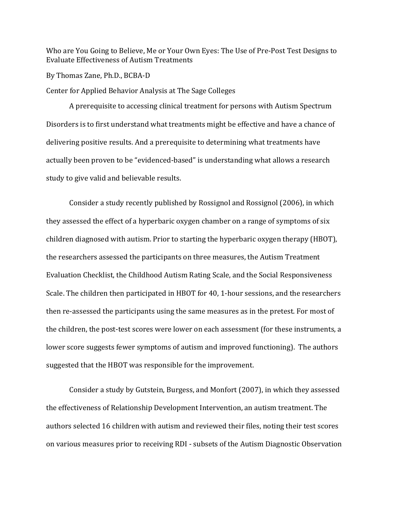Who are You Going to Believe, Me or Your Own Eyes: The Use of Pre-Post Test Designs to Evaluate Effectiveness of Autism Treatments

By Thomas Zane, Ph.D., BCBA-D

Center for Applied Behavior Analysis at The Sage Colleges

A prerequisite to accessing clinical treatment for persons with Autism Spectrum Disorders is to first understand what treatments might be effective and have a chance of delivering positive results. And a prerequisite to determining what treatments have actually been proven to be "evidenced-based" is understanding what allows a research study to give valid and believable results.

Consider a study recently published by Rossignol and Rossignol (2006), in which they assessed the effect of a hyperbaric oxygen chamber on a range of symptoms of six children diagnosed with autism. Prior to starting the hyperbaric oxygen therapy (HBOT), the researchers assessed the participants on three measures, the Autism Treatment Evaluation Checklist, the Childhood Autism Rating Scale, and the Social Responsiveness Scale. The children then participated in HBOT for 40, 1-hour sessions, and the researchers then re-assessed the participants using the same measures as in the pretest. For most of the children, the post-test scores were lower on each assessment (for these instruments, a lower score suggests fewer symptoms of autism and improved functioning). The authors suggested that the HBOT was responsible for the improvement.

Consider a study by Gutstein, Burgess, and Monfort (2007), in which they assessed the effectiveness of Relationship Development Intervention, an autism treatment. The authors selected 16 children with autism and reviewed their files, noting their test scores on various measures prior to receiving RDI - subsets of the Autism Diagnostic Observation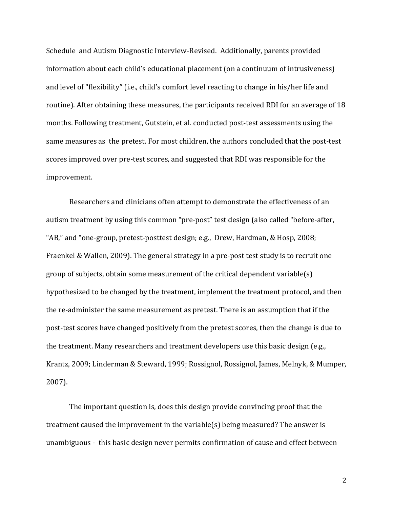Schedule and Autism Diagnostic Interview-Revised. Additionally, parents provided information about each child's educational placement (on a continuum of intrusiveness) and level of "flexibility" (i.e., child's comfort level reacting to change in his/her life and routine). After obtaining these measures, the participants received RDI for an average of 18 months. Following treatment, Gutstein, et al. conducted post-test assessments using the same measures as the pretest. For most children, the authors concluded that the post-test scores improved over pre-test scores, and suggested that RDI was responsible for the improvement.

Researchers and clinicians often attempt to demonstrate the effectiveness of an autism treatment by using this common "pre-post" test design (also called "before-after, "AB," and "one-group, pretest-posttest design; e.g., Drew, Hardman, & Hosp, 2008; Fraenkel & Wallen, 2009). The general strategy in a pre-post test study is to recruit one group of subjects, obtain some measurement of the critical dependent variable(s) hypothesized to be changed by the treatment, implement the treatment protocol, and then the re-administer the same measurement as pretest. There is an assumption that if the post-test scores have changed positively from the pretest scores, then the change is due to the treatment. Many researchers and treatment developers use this basic design (e.g., Krantz, 2009; Linderman & Steward, 1999; Rossignol, Rossignol, James, Melnyk, & Mumper,  $2007$ ).

The important question is, does this design provide convincing proof that the treatment caused the improvement in the variable(s) being measured? The answer is unambiguous - this basic design never permits confirmation of cause and effect between

 $\overline{2}$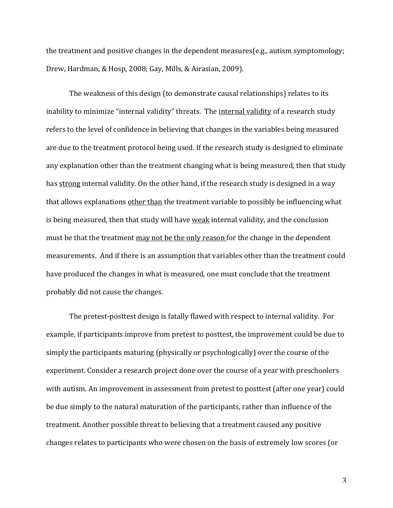the treatment and positive changes in the dependent measures  $(e.g.,$  autism symptomology; Drew, Hardman, & Hosp, 2008; Gay, Mills, & Airasian, 2009).

The weakness of this design (to demonstrate causal relationships) relates to its inability to minimize "internal validity" threats. The internal validity of a research study refers to the level of confidence in believing that changes in the variables being measured are due to the treatment protocol being used. If the research study is designed to eliminate any explanation other than the treatment changing what is being measured, then that study has strong internal validity. On the other hand, if the research study is designed in a way that allows explanations other than the treatment variable to possibly be influencing what is being measured, then that study will have weak internal validity, and the conclusion must be that the treatment may not be the only reason for the change in the dependent measurements. And if there is an assumption that variables other than the treatment could have produced the changes in what is measured, one must conclude that the treatment probably did not cause the changes.

The pretest-posttest design is fatally flawed with respect to internal validity. For example, if participants improve from pretest to posttest, the improvement could be due to simply the participants maturing (physically or psychologically) over the course of the experiment. Consider a research project done over the course of a year with preschoolers with autism. An improvement in assessment from pretest to posttest (after one year) could be due simply to the natural maturation of the participants, rather than influence of the treatment. Another possible threat to believing that a treatment caused any positive changes relates to participants who were chosen on the basis of extremely low scores (or

 $\overline{3}$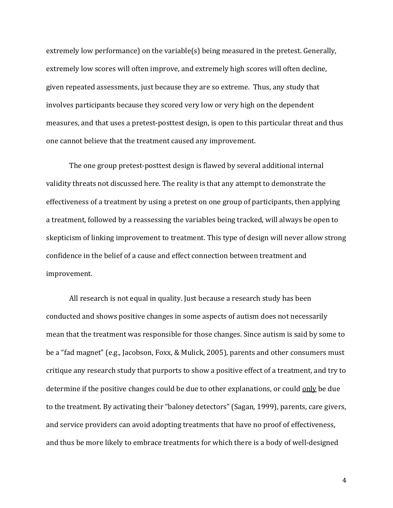extremely low performance) on the variable(s) being measured in the pretest. Generally, extremely low scores will often improve, and extremely high scores will often decline, given repeated assessments, just because they are so extreme. Thus, any study that involves participants because they scored very low or very high on the dependent measures, and that uses a pretest-posttest design, is open to this particular threat and thus one cannot believe that the treatment caused any improvement.

The one group pretest-posttest design is flawed by several additional internal validity threats not discussed here. The reality is that any attempt to demonstrate the effectiveness of a treatment by using a pretest on one group of participants, then applying a treatment, followed by a reassessing the variables being tracked, will always be open to skepticism of linking improvement to treatment. This type of design will never allow strong confidence in the belief of a cause and effect connection between treatment and improvement.

All research is not equal in quality. Just because a research study has been conducted and shows positive changes in some aspects of autism does not necessarily mean that the treatment was responsible for those changes. Since autism is said by some to be a "fad magnet" (e.g., Jacobson, Foxx, & Mulick, 2005), parents and other consumers must critique any research study that purports to show a positive effect of a treatment, and try to determine if the positive changes could be due to other explanations, or could only be due to the treatment. By activating their "baloney detectors" (Sagan, 1999), parents, care givers, and service providers can avoid adopting treatments that have no proof of effectiveness, and thus be more likely to embrace treatments for which there is a body of well-designed

4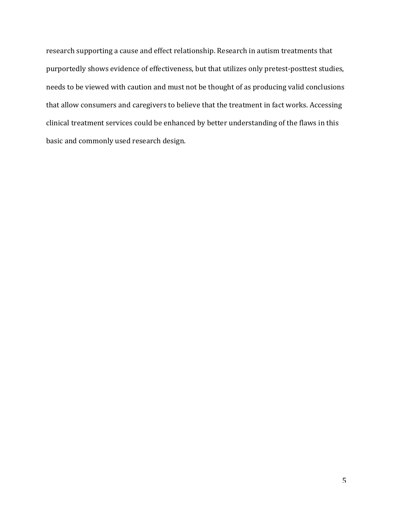research supporting a cause and effect relationship. Research in autism treatments that purportedly shows evidence of effectiveness, but that utilizes only pretest-posttest studies, needs to be viewed with caution and must not be thought of as producing valid conclusions that allow consumers and caregivers to believe that the treatment in fact works. Accessing clinical treatment services could be enhanced by better understanding of the flaws in this basic and commonly used research design.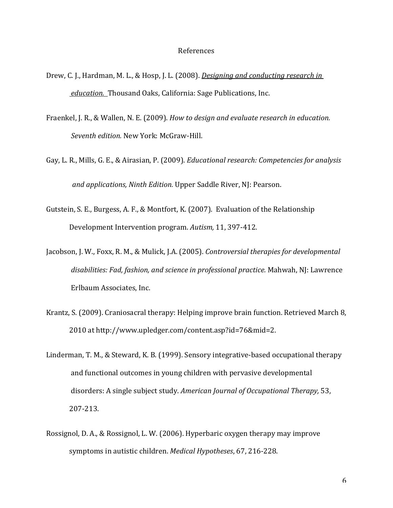## References

- Drew, C. J., Hardman, M. L., & Hosp, J. L. (2008). *Designing and conducting research in education.* Thousand Oaks, California: Sage Publications, Inc.
- Fraenkel, J. R., & Wallen, N. E. (2009). *How to design and evaluate research in education.* Seventh edition. New York: McGraw-Hill.
- Gay, L. R., Mills, G. E., & Airasian, P. (2009). *Educational research: Competencies for analysis and applications, Ninth Edition.* Upper Saddle River, NJ: Pearson.
- Gutstein, S. E., Burgess, A. F., & Montfort, K. (2007). Evaluation of the Relationship Development Intervention program. Autism, 11, 397-412.
- Jacobson, J. W., Foxx, R. M., & Mulick, J.A. (2005). *Controversial therapies for developmental* disabilities: Fad, fashion, and science in professional practice. Mahwah, NJ: Lawrence Erlbaum Associates, Inc.
- Krantz, S. (2009). Craniosacral therapy: Helping improve brain function. Retrieved March 8, 2010 at http://www.upledger.com/content.asp?id=76&mid=2.
- Linderman, T. M., & Steward, K. B. (1999). Sensory integrative-based occupational therapy and functional outcomes in young children with pervasive developmental disorders: A single subject study. American Journal of Occupational Therapy, 53, 207>213.
- Rossignol, D. A., & Rossignol, L. W. (2006). Hyperbaric oxygen therapy may improve symptoms in autistic children. *Medical Hypotheses*, 67, 216-228.